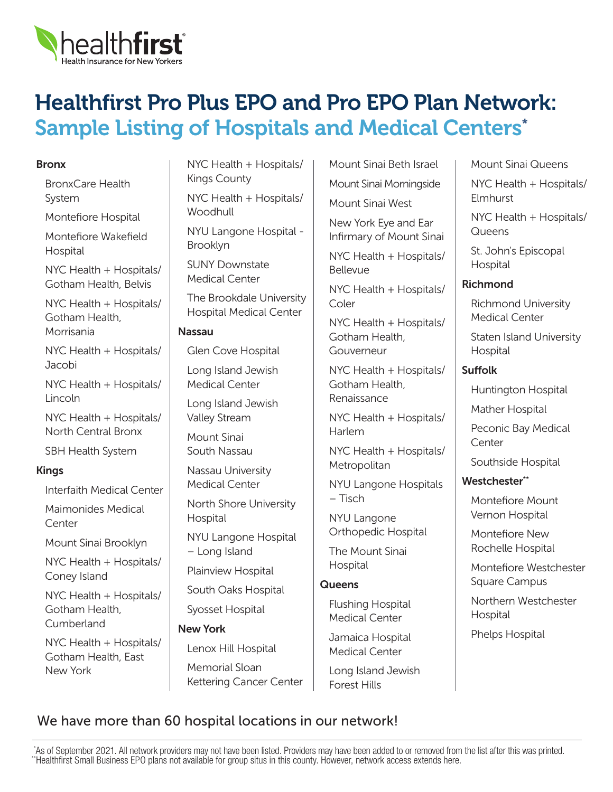

# Healthfirst Pro Plus EPO and Pro EPO Plan Network: Sample Listing of Hospitals and Medical Centers\*

#### Bronx

BronxCare Health System

Montefiore Hospital

Montefiore Wakefield **Hospital** 

NYC Health + Hospitals/ Gotham Health, Belvis

NYC Health + Hospitals/ Gotham Health, Morrisania

NYC Health + Hospitals/ Jacobi

NYC Health + Hospitals/ Lincoln

NYC Health + Hospitals/ North Central Bronx

SBH Health System

#### Kings

Interfaith Medical Center

Maimonides Medical **Center** 

Mount Sinai Brooklyn

NYC Health + Hospitals/ Coney Island

NYC Health + Hospitals/ Gotham Health, Cumberland

NYC Health + Hospitals/ Gotham Health, East New York

NYC Health + Hospitals/ Kings County

NYC Health + Hospitals/ **Woodhull** 

NYU Langone Hospital - Brooklyn

SUNY Downstate Medical Center

The Brookdale University Hospital Medical Center

#### Nassau

Glen Cove Hospital

Long Island Jewish Medical Center

Long Island Jewish Valley Stream

Mount Sinai South Nassau

Nassau University Medical Center

North Shore University Hospital

NYU Langone Hospital – Long Island

Plainview Hospital

South Oaks Hospital

Syosset Hospital

New York

Lenox Hill Hospital

Memorial Sloan Kettering Cancer Center Mount Sinai Beth Israel Mount Sinai Morningside Mount Sinai West

New York Eye and Ear Infirmary of Mount Sinai

NYC Health + Hospitals/ Bellevue

NYC Health + Hospitals/ Coler

NYC Health + Hospitals/ Gotham Health, Gouverneur

NYC Health + Hospitals/ Gotham Health, Renaissance

NYC Health + Hospitals/ Harlem

NYC Health + Hospitals/ **Metropolitan** 

NYU Langone Hospitals – Tisch

NYU Langone Orthopedic Hospital

The Mount Sinai Hospital

#### **Queens**

Flushing Hospital Medical Center

Jamaica Hospital Medical Center

Long Island Jewish Forest Hills

Mount Sinai Queens NYC Health + Hospitals/ Elmhurst NYC Health + Hospitals/ **Queens** 

St. John's Episcopal Hospital

# Richmond

Richmond University Medical Center

Staten Island University Hospital

# Suffolk

Huntington Hospital

Mather Hospital

Peconic Bay Medical **Center** 

Southside Hospital

# Westchester\*\*

Montefiore Mount Vernon Hospital

Montefiore New Rochelle Hospital

Montefiore Westchester Square Campus

Northern Westchester Hospital

Phelps Hospital

# We have more than 60 hospital locations in our network!

 \*As of September 2021. All network providers may not have been listed. Providers may have been added to or removed from the list after this was printed. \*\*Healthfirst Small Business EPO plans not available for group situs in this county. However, network access extends here.